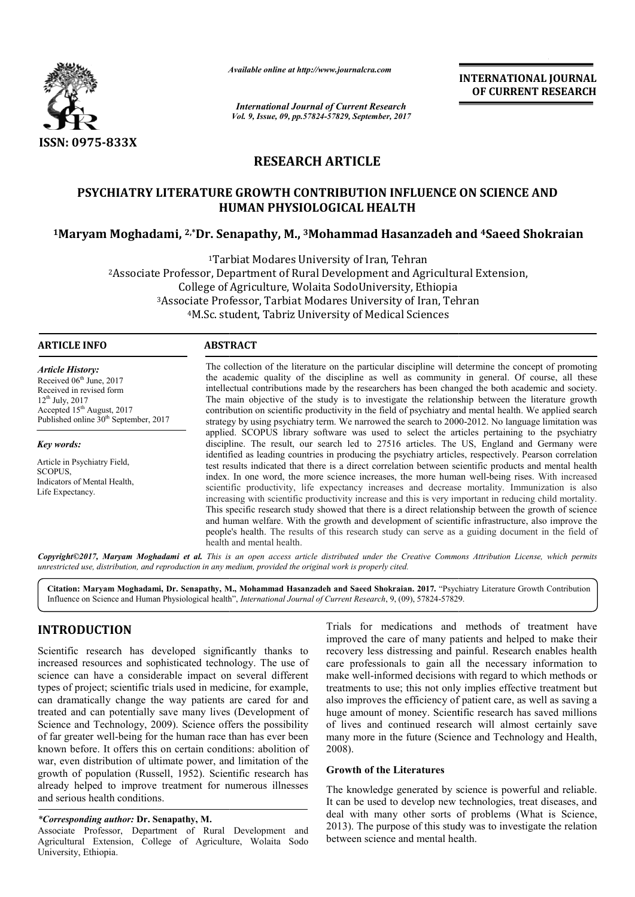

*Available online at http://www.journal http://www.journalcra.com*

*International Journal of Current Research Vol. 9, Issue, 09, pp.57824-57829, September, 2017* **INTERNATIONAL JOURNAL OF CURRENT RESEARCH** 

# **RESEARCH ARTICLE**

# PSYCHIATRY LITERATURE GROWTH CONTRIBUTION INFLUENCE ON SCIENCE AND **HUMAN PHYSIOLOGICAL HEALTH**

# **1Maryam Moghadami, 2,\*Dr. Senapathy, M., Dr. 3Mohammad Hasanzadeh and Mohammad 4Saeed Shokraian**

1Tarbiat Tarbiat Modares University of Iran, Tehran <sup>2</sup>Associate Professor, Department of Rural Development and Agricultural Extension,<br>College of Agriculture, Wolaita SodoUniversity, Ethiopia<br><sup>3</sup>Associate Professor, Tarbiat Modares University of Iran, Tehran<br><sup>4</sup>M.Sc. stude College of Agriculture, Wolaita SodoUniversity, Ethiopia 3Associate Professor, Tarbiat Modares University of Iran, Tehran <sup>4</sup>M.Sc. student, Tabriz University of Medical Sciences

# **ARTICLE INFO ABSTRACT**

*Article History:* Received 06<sup>th</sup> June, 2017 Received in revised form 12th July, 2017 Accepted 15<sup>th</sup> August, 2017 Published online 30<sup>th</sup> September, 2017

*Key words:* Article in Psychiatry Field, **SCOPUS** Indicators of Mental Health, Life Expectancy.

The collection of the literature on the particular discipline will determine the concept of promoting the academic quality of the discipline as well as community in general. Of course, all these intellectual contributions made by the researchers has been changed the both academic and society. The main objective of the study is to investigate the relationship between the literature growth intellectual contributions made by the researchers has been changed the both academic and society.<br>The main objective of the study is to investigate the relationship between the literature growth<br>contribution on scientific strategy by using psychiatry term. We narrowed the search to 2000-2012. No language limitation was applied. SCOPUS library software was used to select the articles pertaining to the psychiatry discipline. The result, our search led to 27516 articles. The US, England and Germany were discipline. The result, our search led to 27516 articles. The US, England and Germany were identified as leading countries in producing the psychiatry articles, respectively. Pearson correlation test results indicated that there is a direct correlation between scientific products and mental health test results indicated that there is a direct correlation between scientific products and mental health index. In one word, the more science increases, the more human well-being rises. With increased scientific productivity, life expectancy increases and decrease mortality. Immunization is also increasing with scientific productivity increase and this is very important in reducing child mortality. This specific research study showed that there is a direct relationship between the growth of science and human welfare. With the growth and development of scientific infrastructure, also improve the people's health. The results of this research study can serve as a guiding document in the field of health and mental health. life expectancy increases and decrease mortality. Immunization is also productivity increase and this is very important in reducing child mortality. Undy showed that there is a direct relationship between the growth of sci guaranticom **INTERNATIONAL JOUENAL CONTRIGENT (CONTRIGENT SESSEARCH CONTRIGENT CONTRIGENT (CONTRIGENT RESEARCH INTERNATION)** (Figure 2017) (FIGURE CONTRIGENT CONTRIGENT CONTRIGENT CONTRIGENT CONTRIGENT CONTRIGENT CONTRIGE

*Copyright©2017, Maryam Moghadami et al. This is an open access article distributed under the Creative Commons Att Attribution License, which permits unrestricted use, distribution, and reproduction in any medium, provided the original work is properly cited.*

Citation: Maryam Moghadami, Dr. Senapathy, M., Mohammad Hasanzadeh and Saeed Shokraian. 2017. "Psychiatry Literature Growth Contribution<br>Influence on Science and Human Physiological health", *International Journal of Curre* Influence on Science and Human Physiological health", *International Journal of Current Research*, 9, (09), 57824-57829

## **INTRODUCTION**

Scientific research has developed significantly thanks to increased resources and sophisticated technology. The use of science can have a considerable impact on several different types of project; scientific trials used in medicine, for example, can dramatically change the way patients are cared for and treated and can potentially save many lives (Development of Science and Technology, 2009). Science offers the possibility of far greater well-being for the human race than has ever been of far greater well-being for the human race than has ever been<br>known before. It offers this on certain conditions: abolition of war, even distribution of ultimate power, and limitation of the growth of population (Russell, 1952). Scientific research has already helped to improve treatment for numerous illnesses and serious health conditions.

#### *\*Corresponding author:* **Dr. Senapathy, M.**

Associate Professor, Department of Rural Development and Agricultural Extension, College of Agriculture, Wolaita Sodo University, Ethiopia.

Trials for medications and methods of treatment have<br>improved the care of many patients and helped to make their<br>that technology. The use of<br>care professionals to gain all the necessary information to<br>pact on several diffe Trials for medications and methods of treatment have improved the care of many patients and helped to make their recovery less distressing and painful. Research enables health care professionals to gain all the necessary information to make well-informed decisions with regard to which methods or recovery less distressing and painful. Research enables health care professionals to gain all the necessary information to make well-informed decisions with regard to which methods or treatments to use; this not only impli also improves the efficiency of patient care, as well as saving a huge amount of money. Scientific research has saved millions of lives and continued research will almost certainly save many more in the future (Science and Technology and Health, 2008). improves the efficiency of patient care, as well as saving a amount of money. Scientific research has saved millions ves and continued research will almost certainly save y more in the future (Science and Technology and He

## **Growth of the Literatures**

The knowledge generated by science is powerful and reliable. It can be used to develop new technologies, treat diseases, and deal with many other sorts of problems (What is Science, 2013). The purpose of this study was to investigate the relation between science and mental health.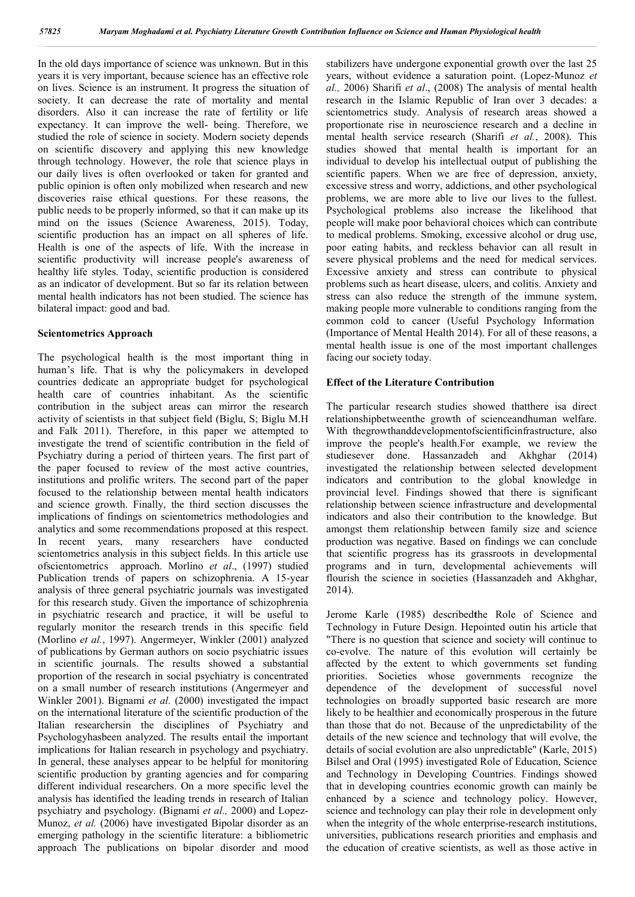In the old days importance of science was unknown. But in this years it is very important, because science has an effective role on lives. Science is an instrument. It progress the situation of society. It can decrease the rate of mortality and mental disorders. Also it can increase the rate of fertility or life expectancy. It can improve the well- being. Therefore, we studied the role of science in society. Modern society depends on scientific discovery and applying this new knowledge through technology. However, the role that science plays in our daily lives is often overlooked or taken for granted and public opinion is often only mobilized when research and new discoveries raise ethical questions. For these reasons, the public needs to be properly informed, so that it can make up its mind on the issues (Science Awareness, 2015). Today, scientific production has an impact on all spheres of life. Health is one of the aspects of life. With the increase in scientific productivity will increase people's awareness of healthy life styles. Today, scientific production is considered as an indicator of development. But so far its relation between mental health indicators has not been studied. The science has bilateral impact: good and bad.

#### **Scientometrics Approach**

The psychological health is the most important thing in human's life. That is why the policymakers in developed countries dedicate an appropriate budget for psychological health care of countries inhabitant. As the scientific contribution in the subject areas can mirror the research activity of scientists in that subject field (Biglu, S; Biglu M.H and Falk 2011). Therefore, in this paper we attempted to investigate the trend of scientific contribution in the field of Psychiatry during a period of thirteen years. The first part of the paper focused to review of the most active countries, institutions and prolific writers. The second part of the paper focused to the relationship between mental health indicators and science growth. Finally, the third section discusses the implications of findings on scientometrics methodologies and analytics and some recommendations proposed at this respect. In recent years, many researchers have conducted scientometrics analysis in this subject fields. In this article use ofscientometrics approach. Morlino *et al*., (1997) studied Publication trends of papers on schizophrenia. A 15-year analysis of three general psychiatric journals was investigated for this research study. Given the importance of schizophrenia in psychiatric research and practice, it will be useful to regularly monitor the research trends in this specific field (Morlino *et al.*, 1997). Angermeyer, Winkler (2001) analyzed of publications by German authors on socio psychiatric issues in scientific journals. The results showed a substantial proportion of the research in social psychiatry is concentrated on a small number of research institutions (Angermeyer and Winkler 2001). Bignami *et al.* (2000) investigated the impact on the international literature of the scientific production of the Italian researchersin the disciplines of Psychiatry and Psychologyhasbeen analyzed. The results entail the important implications for Italian research in psychology and psychiatry. In general, these analyses appear to be helpful for monitoring scientific production by granting agencies and for comparing different individual researchers. On a more specific level the analysis has identified the leading trends in research of Italian psychiatry and psychology. (Bignami *et al.,* 2000) and Lopez-Munoz, *et al.* (2006) have investigated Bipolar disorder as an emerging pathology in the scientific literature: a bibliometric approach The publications on bipolar disorder and mood

stabilizers have undergone exponential growth over the last 25 years, without evidence a saturation point. (Lopez-Munoz *et al.,* 2006) Sharifi *et al*., (2008) The analysis of mental health research in the Islamic Republic of Iran over 3 decades: a scientometrics study. Analysis of research areas showed a proportionate rise in neuroscience research and a decline in mental health service research (Sharifi *et al.*, 2008). This studies showed that mental health is important for an individual to develop his intellectual output of publishing the scientific papers. When we are free of depression, anxiety, excessive stress and worry, addictions, and other psychological problems, we are more able to live our lives to the fullest. Psychological problems also increase the likelihood that people will make poor behavioral choices which can contribute to medical problems. Smoking, excessive alcohol or drug use, poor eating habits, and reckless behavior can all result in severe physical problems and the need for medical services. Excessive anxiety and stress can contribute to physical problems such as heart disease, ulcers, and colitis. Anxiety and stress can also reduce the strength of the immune system, making people more vulnerable to conditions ranging from the common cold to cancer (Useful Psychology Information (Importance of Mental Health 2014). For all of these reasons, a mental health issue is one of the most important challenges facing our society today.

#### **Effect of the Literature Contribution**

The particular research studies showed thatthere isa direct relationshipbetweenthe growth of scienceandhuman welfare. With thegrowthanddevelopmentofscientificinfrastructure, also improve the people's health.For example, we review the studiesever done. Hassanzadeh and Akhghar (2014) investigated the relationship between selected development indicators and contribution to the global knowledge in provincial level. Findings showed that there is significant relationship between science infrastructure and developmental indicators and also their contribution to the knowledge. But amongst them relationship between family size and science production was negative. Based on findings we can conclude that scientific progress has its grassroots in developmental programs and in turn, developmental achievements will flourish the science in societies (Hassanzadeh and Akhghar, 2014).

Jerome Karle (1985) described**t**he Role of Science and Technology in Future Design. Hepointed outin his article that "There is no question that science and society will continue to co-evolve. The nature of this evolution will certainly be affected by the extent to which governments set funding priorities. Societies whose governments recognize the dependence of the development of successful novel technologies on broadly supported basic research are more likely to be healthier and economically prosperous in the future than those that do not. Because of the unpredictability of the details of the new science and technology that will evolve, the details of social evolution are also unpredictable" (Karle, 2015) Bilsel and Oral (1995) investigated Role of Education, Science and Technology in Developing Countries. Findings showed that in developing countries economic growth can mainly be enhanced by a science and technology policy. However, science and technology can play their role in development only when the integrity of the whole enterprise-research institutions, universities, publications research priorities and emphasis and the education of creative scientists, as well as those active in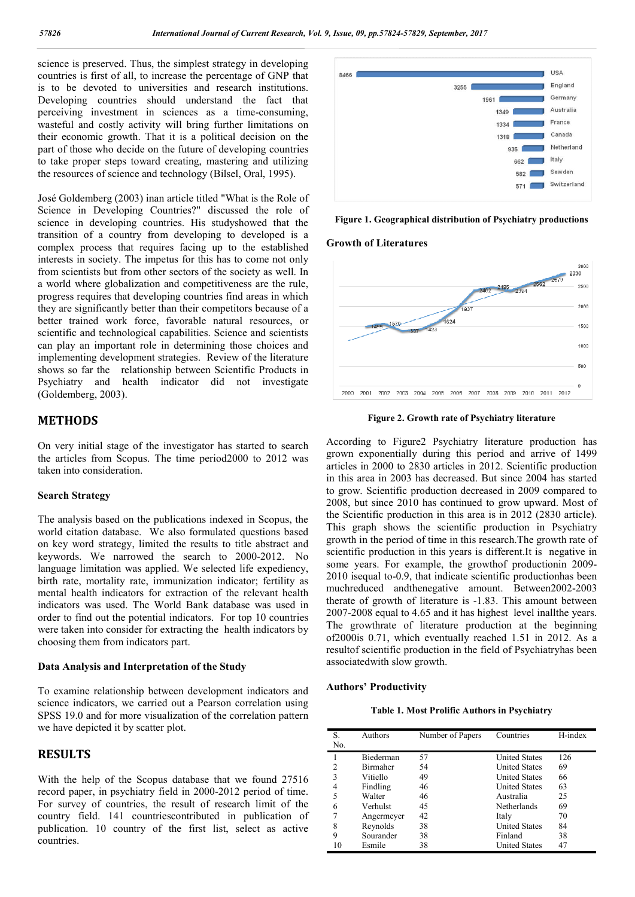science is preserved. Thus, the simplest strategy in developing countries is first of all, to increase the percentage of GNP that is to be devoted to universities and research institutions. Developing countries should understand the fact that perceiving investment in sciences as a time-consuming, wasteful and costly activity will bring further limitations on their economic growth. That it is a political decision on the part of those who decide on the future of developing countries to take proper steps toward creating, mastering and utilizing the resources of science and technology (Bilsel, Oral, 1995).

José Goldemberg (2003) inan article titled "What is the Role of Science in Developing Countries?" discussed the role of science in developing countries. His studyshowed that the transition of a country from developing to developed is a complex process that requires facing up to the established interests in society. The impetus for this has to come not only from scientists but from other sectors of the society as well. In a world where globalization and competitiveness are the rule, progress requires that developing countries find areas in which they are significantly better than their competitors because of a better trained work force, favorable natural resources, or scientific and technological capabilities. Science and scientists can play an important role in determining those choices and implementing development strategies. Review of the literature shows so far the relationship between Scientific Products in Psychiatry and health indicator did not investigate (Goldemberg, 2003).

## **METHODS**

On very initial stage of the investigator has started to search the articles from Scopus. The time period2000 to 2012 was taken into consideration.

#### **Search Strategy**

The analysis based on the publications indexed in Scopus, the world citation database. We also formulated questions based on key word strategy, limited the results to title abstract and keywords. We narrowed the search to 2000-2012. No language limitation was applied. We selected life expediency, birth rate, mortality rate, immunization indicator; fertility as mental health indicators for extraction of the relevant health indicators was used. The World Bank database was used in order to find out the potential indicators. For top 10 countries were taken into consider for extracting the health indicators by choosing them from indicators part.

#### **Data Analysis and Interpretation of the Study**

To examine relationship between development indicators and science indicators, we carried out a Pearson correlation using SPSS 19.0 and for more visualization of the correlation pattern we have depicted it by scatter plot.

## **RESULTS**

With the help of the Scopus database that we found 27516 record paper, in psychiatry field in 2000-2012 period of time. For survey of countries, the result of research limit of the country field. 141 countriescontributed in publication of publication. 10 country of the first list, select as active countries.



**Figure 1. Geographical distribution of Psychiatry productions**

#### **Growth of Literatures**



**Figure 2. Growth rate of Psychiatry literature**

According to Figure2 Psychiatry literature production has grown exponentially during this period and arrive of 1499 articles in 2000 to 2830 articles in 2012. Scientific production in this area in 2003 has decreased. But since 2004 has started to grow. Scientific production decreased in 2009 compared to 2008, but since 2010 has continued to grow upward. Most of the Scientific production in this area is in 2012 (2830 article). This graph shows the scientific production in Psychiatry growth in the period of time in this research.The growth rate of scientific production in this years is different.It is negative in some years. For example, the growthof productionin 2009- 2010 isequal to-0.9, that indicate scientific productionhas been muchreduced andthenegative amount. Between2002-2003 therate of growth of literature is -1.83. This amount between 2007-2008 equal to 4.65 and it has highest level inallthe years. The growthrate of literature production at the beginning of2000is 0.71, which eventually reached 1.51 in 2012. As a resultof scientific production in the field of Psychiatryhas been associatedwith slow growth.

#### **Authors' Productivity**

**Table 1. Most Prolific Authors in Psychiatry**

| S.             | Authors    | Number of Papers | Countries            | H-index |
|----------------|------------|------------------|----------------------|---------|
| No.            |            |                  |                      |         |
|                | Biederman  | 57               | <b>United States</b> | 126     |
| $\overline{c}$ | Birmaher   | 54               | <b>United States</b> | 69      |
| 3              | Vitiello   | 49               | <b>United States</b> | 66      |
| 4              | Findling   | 46               | <b>United States</b> | 63      |
| 5              | Walter     | 46               | Australia            | 25      |
| 6              | Verhulst   | 45               | Netherlands          | 69      |
| 7              | Angermeyer | 42               | Italy                | 70      |
| 8              | Reynolds   | 38               | <b>United States</b> | 84      |
| 9              | Sourander  | 38               | Finland              | 38      |
| 10             | Esmile     | 38               | <b>United States</b> | 47      |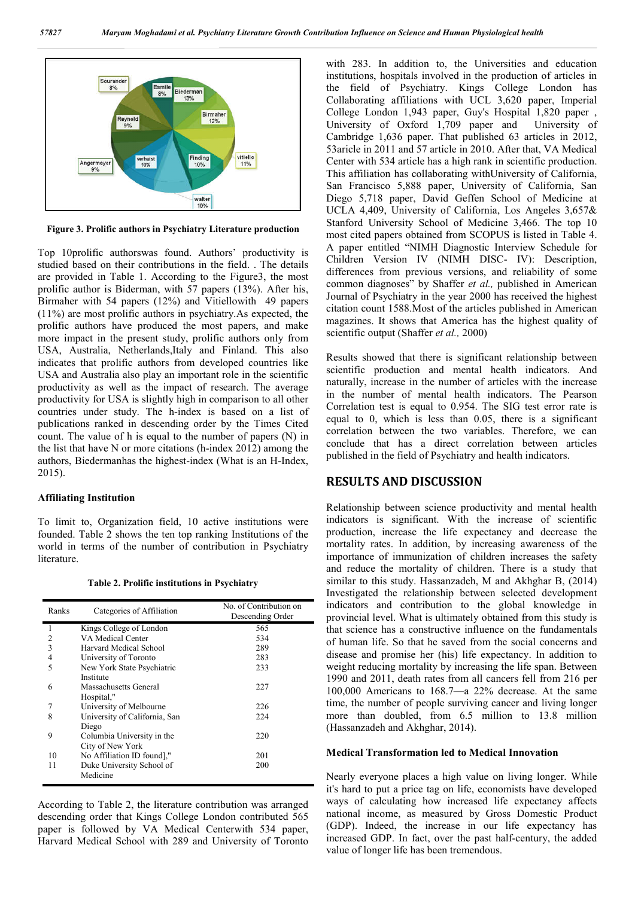

**Figure 3. Prolific authors in Psychiatry Literature production**

Top 10prolific authorswas found. Authors' productivity is studied based on their contributions in the field. . The details are provided in Table 1. According to the Figure3, the most prolific author is Biderman, with 57 papers (13%). After his, Birmaher with 54 papers (12%) and Vitiellowith 49 papers (11%) are most prolific authors in psychiatry.As expected, the prolific authors have produced the most papers, and make more impact in the present study, prolific authors only from USA, Australia, Netherlands,Italy and Finland. This also indicates that prolific authors from developed countries like USA and Australia also play an important role in the scientific productivity as well as the impact of research. The average productivity for USA is slightly high in comparison to all other countries under study. The h-index is based on a list of publications ranked in descending order by the Times Cited count. The value of h is equal to the number of papers (N) in the list that have N or more citations (h-index 2012) among the authors, Biedermanhas the highest-index (What is an H-Index, 2015).

### **Affiliating Institution**

To limit to, Organization field, 10 active institutions were founded. Table 2 shows the ten top ranking Institutions of the world in terms of the number of contribution in Psychiatry literature.

**Table 2. Prolific institutions in Psychiatry**

| Ranks          | Categories of Affiliation                      | No. of Contribution on<br>Descending Order |  |
|----------------|------------------------------------------------|--------------------------------------------|--|
| 1              | Kings College of London                        | 565                                        |  |
| $\overline{2}$ | VA Medical Center                              | 534                                        |  |
| 3              | Harvard Medical School                         | 289                                        |  |
| $\overline{4}$ | University of Toronto                          | 283                                        |  |
| 5              | New York State Psychiatric<br>Institute        | 233                                        |  |
| 6              | Massachusetts General<br>Hospital,"            | 227                                        |  |
| 7              | University of Melbourne                        | 226                                        |  |
| 8              | University of California, San<br>Diego         | 224                                        |  |
| 9              | Columbia University in the<br>City of New York | 220                                        |  |
| 10             | No Affiliation ID found]."                     | 201                                        |  |
| 11             | Duke University School of<br>Medicine          | 200                                        |  |

According to Table 2, the literature contribution was arranged descending order that Kings College London contributed 565 paper is followed by VA Medical Centerwith 534 paper, Harvard Medical School with 289 and University of Toronto with 283. In addition to, the Universities and education institutions, hospitals involved in the production of articles in the field of Psychiatry. Kings College London has Collaborating affiliations with UCL 3,620 paper, Imperial College London 1,943 paper, Guy's Hospital 1,820 paper , University of Oxford 1,709 paper and University of Cambridge 1,636 paper. That published 63 articles in 2012, 53aricle in 2011 and 57 article in 2010. After that, VA Medical Center with 534 article has a high rank in scientific production. This affiliation has collaborating withUniversity of California, San Francisco 5,888 paper, University of California, San Diego 5,718 paper, David Geffen School of Medicine at UCLA 4,409, University of California, Los Angeles 3,657& Stanford University School of Medicine 3,466. The top 10 most cited papers obtained from SCOPUS is listed in Table 4. A paper entitled "NIMH Diagnostic Interview Schedule for Children Version IV (NIMH DISC- IV): Description, differences from previous versions, and reliability of some common diagnoses" by Shaffer *et al.,* published in American Journal of Psychiatry in the year 2000 has received the highest citation count 1588.Most of the articles published in American magazines. It shows that America has the highest quality of scientific output (Shaffer *et al.,* 2000)

Results showed that there is significant relationship between scientific production and mental health indicators. And naturally, increase in the number of articles with the increase in the number of mental health indicators. The Pearson Correlation test is equal to 0.954. The SIG test error rate is equal to 0, which is less than 0.05, there is a significant correlation between the two variables. Therefore, we can conclude that has a direct correlation between articles published in the field of Psychiatry and health indicators.

## **RESULTS AND DISCUSSION**

Relationship between science productivity and mental health indicators is significant. With the increase of scientific production, increase the life expectancy and decrease the mortality rates. In addition, by increasing awareness of the importance of immunization of children increases the safety and reduce the mortality of children. There is a study that similar to this study. Hassanzadeh, M and Akhghar B, (2014) Investigated the relationship between selected development indicators and contribution to the global knowledge in provincial level. What is ultimately obtained from this study is that science has a constructive influence on the fundamentals of human life. So that he saved from the social concerns and disease and promise her (his) life expectancy. In addition to weight reducing mortality by increasing the life span. Between 1990 and 2011, death rates from all cancers fell from 216 per 100,000 Americans to 168.7—a 22% decrease. At the same time, the number of people surviving cancer and living longer more than doubled, from 6.5 million to 13.8 million (Hassanzadeh and Akhghar, 2014).

#### **Medical Transformation led to Medical Innovation**

Nearly everyone places a high value on living longer. While it's hard to put a price tag on life, economists have developed ways of calculating how increased life expectancy affects national income, as measured by Gross Domestic Product (GDP). Indeed, the increase in our life expectancy has increased GDP. In fact, over the past half-century, the added value of longer life has been tremendous.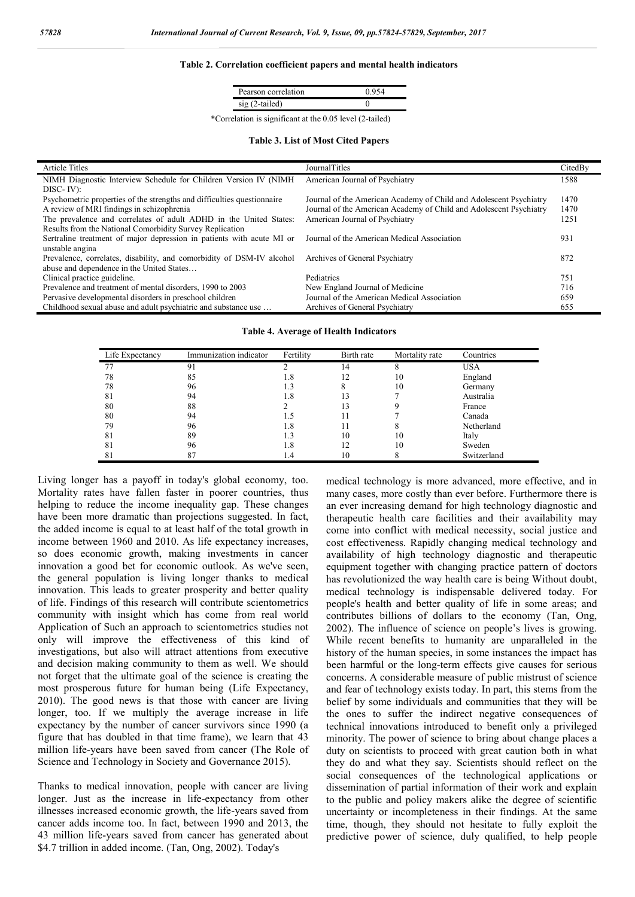#### **Table 2. Correlation coefficient papers and mental health indicators**

| Pearson correlation |  |
|---------------------|--|
| $O_{\text{tail}}$   |  |
|                     |  |

\*Correlation is significant at the 0.05 level (2-tailed)

#### **Table 3. List of Most Cited Papers**

| <b>Article Titles</b>                                                   | JournalTitles                                                      | CitedBy |
|-------------------------------------------------------------------------|--------------------------------------------------------------------|---------|
| NIMH Diagnostic Interview Schedule for Children Version IV (NIMH)       | American Journal of Psychiatry                                     | 1588    |
| $DISC-IV$ :                                                             |                                                                    |         |
| Psychometric properties of the strengths and difficulties questionnaire | Journal of the American Academy of Child and Adolescent Psychiatry | 1470    |
| A review of MRI findings in schizophrenia                               | Journal of the American Academy of Child and Adolescent Psychiatry | 1470    |
| The prevalence and correlates of adult ADHD in the United States:       | American Journal of Psychiatry                                     | 1251    |
| Results from the National Comorbidity Survey Replication                |                                                                    |         |
| Sertraline treatment of major depression in patients with acute MI or   | Journal of the American Medical Association                        | 931     |
| unstable angina                                                         |                                                                    |         |
| Prevalence, correlates, disability, and comorbidity of DSM-IV alcohol   | Archives of General Psychiatry                                     | 872     |
| abuse and dependence in the United States                               |                                                                    |         |
| Clinical practice guideline.                                            | Pediatrics                                                         | 751     |
| Prevalence and treatment of mental disorders, 1990 to 2003              | New England Journal of Medicine                                    | 716     |
| Pervasive developmental disorders in preschool children                 | Journal of the American Medical Association                        | 659     |
| Childhood sexual abuse and adult psychiatric and substance use          | Archives of General Psychiatry                                     | 655     |

#### **Table 4. Average of Health Indicators**

| Life Expectancy | Immunization indicator | Fertility | Birth rate | Mortality rate | Countries   |
|-----------------|------------------------|-----------|------------|----------------|-------------|
| 77              | 91                     |           | 14         | 8              | <b>USA</b>  |
| 78              | 85                     | 1.8       |            | 10             | England     |
| 78              | 96                     | 1.3       | 8          | 10             | Germany     |
| 81              | 94                     | 1.8       | 13         |                | Australia   |
| 80              | 88                     |           |            |                | France      |
| 80              | 94                     | . 5       |            |                | Canada      |
| 79              | 96                     | 1.8       |            |                | Netherland  |
| 81              | 89                     | $\cdot$ 3 | 10         | 10             | Italy       |
| 81              | 96                     | 1.8       |            | 10             | Sweden      |
| 81              | 87                     | 1.4       | 10         |                | Switzerland |

Living longer has a payoff in today's global economy, too. Mortality rates have fallen faster in poorer countries, thus helping to reduce the income inequality gap. These changes have been more dramatic than projections suggested. In fact, the added income is equal to at least half of the total growth in income between 1960 and 2010. As life expectancy increases, so does economic growth, making investments in cancer innovation a good bet for economic outlook. As we've seen, the general population is living longer thanks to medical innovation. This leads to greater prosperity and better quality of life. Findings of this research will contribute scientometrics community with insight which has come from real world Application of Such an approach to scientometrics studies not only will improve the effectiveness of this kind of investigations, but also will attract attentions from executive and decision making community to them as well. We should not forget that the ultimate goal of the science is creating the most prosperous future for human being (Life Expectancy, 2010). The good news is that those with cancer are living longer, too. If we multiply the average increase in life expectancy by the number of cancer survivors since 1990 (a figure that has doubled in that time frame), we learn that 43 million life-years have been saved from cancer (The Role of Science and Technology in Society and Governance 2015).

Thanks to medical innovation, people with cancer are living longer. Just as the increase in life-expectancy from other illnesses increased economic growth, the life-years saved from cancer adds income too. In fact, between 1990 and 2013, the 43 million life-years saved from cancer has generated about \$4.7 trillion in added income. (Tan, Ong, 2002). Today's

medical technology is more advanced, more effective, and in many cases, more costly than ever before. Furthermore there is an ever increasing demand for high technology diagnostic and therapeutic health care facilities and their availability may come into conflict with medical necessity, social justice and cost effectiveness. Rapidly changing medical technology and availability of high technology diagnostic and therapeutic equipment together with changing practice pattern of doctors has revolutionized the way health care is being Without doubt, medical technology is indispensable delivered today. For people's health and better quality of life in some areas; and contributes billions of dollars to the economy (Tan, Ong, 2002). The influence of science on people's lives is growing. While recent benefits to humanity are unparalleled in the history of the human species, in some instances the impact has been harmful or the long-term effects give causes for serious concerns. A considerable measure of public mistrust of science and fear of technology exists today. In part, this stems from the belief by some individuals and communities that they will be the ones to suffer the indirect negative consequences of technical innovations introduced to benefit only a privileged minority. The power of science to bring about change places a duty on scientists to proceed with great caution both in what they do and what they say. Scientists should reflect on the social consequences of the technological applications or dissemination of partial information of their work and explain to the public and policy makers alike the degree of scientific uncertainty or incompleteness in their findings. At the same time, though, they should not hesitate to fully exploit the predictive power of science, duly qualified, to help people